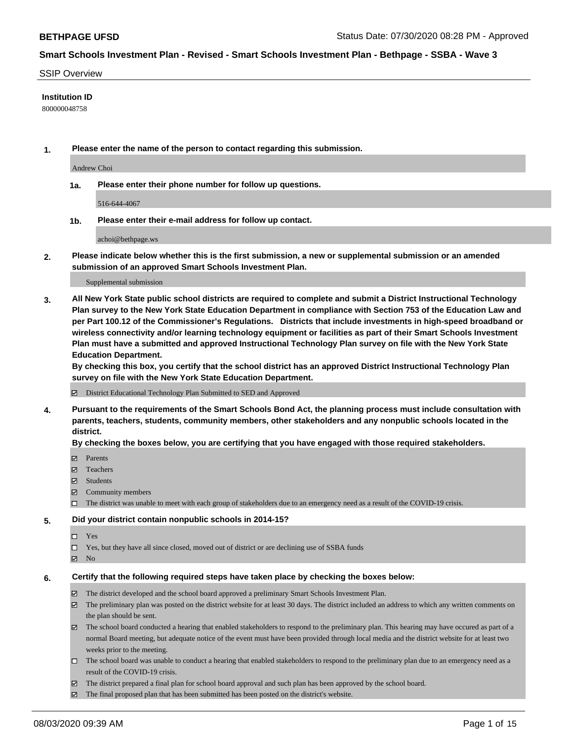### SSIP Overview

### **Institution ID**

800000048758

**1. Please enter the name of the person to contact regarding this submission.**

Andrew Choi

**1a. Please enter their phone number for follow up questions.**

516-644-4067

**1b. Please enter their e-mail address for follow up contact.**

achoi@bethpage.ws

**2. Please indicate below whether this is the first submission, a new or supplemental submission or an amended submission of an approved Smart Schools Investment Plan.**

#### Supplemental submission

**3. All New York State public school districts are required to complete and submit a District Instructional Technology Plan survey to the New York State Education Department in compliance with Section 753 of the Education Law and per Part 100.12 of the Commissioner's Regulations. Districts that include investments in high-speed broadband or wireless connectivity and/or learning technology equipment or facilities as part of their Smart Schools Investment Plan must have a submitted and approved Instructional Technology Plan survey on file with the New York State Education Department.** 

**By checking this box, you certify that the school district has an approved District Instructional Technology Plan survey on file with the New York State Education Department.**

District Educational Technology Plan Submitted to SED and Approved

**4. Pursuant to the requirements of the Smart Schools Bond Act, the planning process must include consultation with parents, teachers, students, community members, other stakeholders and any nonpublic schools located in the district.** 

### **By checking the boxes below, you are certifying that you have engaged with those required stakeholders.**

- **Parents**
- Teachers
- Students
- $\boxtimes$  Community members
- The district was unable to meet with each group of stakeholders due to an emergency need as a result of the COVID-19 crisis.

### **5. Did your district contain nonpublic schools in 2014-15?**

- $\neg$  Yes
- Yes, but they have all since closed, moved out of district or are declining use of SSBA funds
- **Z** No

### **6. Certify that the following required steps have taken place by checking the boxes below:**

- The district developed and the school board approved a preliminary Smart Schools Investment Plan.
- $\boxtimes$  The preliminary plan was posted on the district website for at least 30 days. The district included an address to which any written comments on the plan should be sent.
- $\boxtimes$  The school board conducted a hearing that enabled stakeholders to respond to the preliminary plan. This hearing may have occured as part of a normal Board meeting, but adequate notice of the event must have been provided through local media and the district website for at least two weeks prior to the meeting.
- The school board was unable to conduct a hearing that enabled stakeholders to respond to the preliminary plan due to an emergency need as a result of the COVID-19 crisis.
- The district prepared a final plan for school board approval and such plan has been approved by the school board.
- $\boxtimes$  The final proposed plan that has been submitted has been posted on the district's website.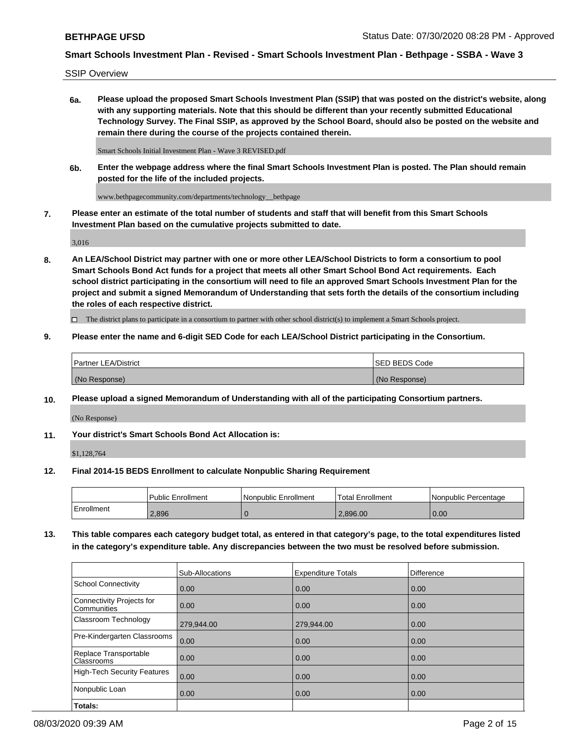SSIP Overview

**6a. Please upload the proposed Smart Schools Investment Plan (SSIP) that was posted on the district's website, along with any supporting materials. Note that this should be different than your recently submitted Educational Technology Survey. The Final SSIP, as approved by the School Board, should also be posted on the website and remain there during the course of the projects contained therein.**

Smart Schools Initial Investment Plan - Wave 3 REVISED.pdf

**6b. Enter the webpage address where the final Smart Schools Investment Plan is posted. The Plan should remain posted for the life of the included projects.**

www.bethpagecommunity.com/departments/technology\_\_bethpage

**7. Please enter an estimate of the total number of students and staff that will benefit from this Smart Schools Investment Plan based on the cumulative projects submitted to date.**

3,016

**8. An LEA/School District may partner with one or more other LEA/School Districts to form a consortium to pool Smart Schools Bond Act funds for a project that meets all other Smart School Bond Act requirements. Each school district participating in the consortium will need to file an approved Smart Schools Investment Plan for the project and submit a signed Memorandum of Understanding that sets forth the details of the consortium including the roles of each respective district.**

 $\Box$  The district plans to participate in a consortium to partner with other school district(s) to implement a Smart Schools project.

### **9. Please enter the name and 6-digit SED Code for each LEA/School District participating in the Consortium.**

| Partner LEA/District | <b>ISED BEDS Code</b> |
|----------------------|-----------------------|
| (No Response)        | (No Response)         |

### **10. Please upload a signed Memorandum of Understanding with all of the participating Consortium partners.**

(No Response)

### **11. Your district's Smart Schools Bond Act Allocation is:**

\$1,128,764

### **12. Final 2014-15 BEDS Enrollment to calculate Nonpublic Sharing Requirement**

|            | Public Enrollment | Nonpublic Enrollment | Total Enrollment | Nonpublic Percentage |
|------------|-------------------|----------------------|------------------|----------------------|
| Enrollment | 2.896             |                      | 2.896.00         | 0.00                 |

**13. This table compares each category budget total, as entered in that category's page, to the total expenditures listed in the category's expenditure table. Any discrepancies between the two must be resolved before submission.**

|                                          | Sub-Allocations | <b>Expenditure Totals</b> | <b>Difference</b> |
|------------------------------------------|-----------------|---------------------------|-------------------|
| <b>School Connectivity</b>               | 0.00            | 0.00                      | 0.00              |
| Connectivity Projects for<br>Communities | 0.00            | 0.00                      | 0.00              |
| Classroom Technology                     | 279,944.00      | 279,944.00                | 0.00              |
| Pre-Kindergarten Classrooms              | 0.00            | 0.00                      | 0.00              |
| Replace Transportable<br>Classrooms      | 0.00            | 0.00                      | 0.00              |
| High-Tech Security Features              | 0.00            | 0.00                      | 0.00              |
| Nonpublic Loan                           | 0.00            | 0.00                      | 0.00              |
| Totals:                                  |                 |                           |                   |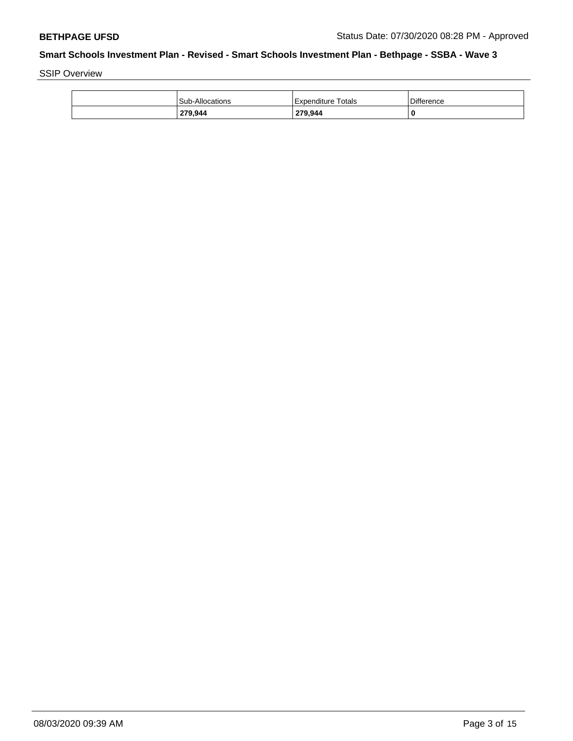SSIP Overview

| 279,944                | 279,944            | 0          |
|------------------------|--------------------|------------|
| <b>Sub-Allocations</b> | Expenditure Totals | Difference |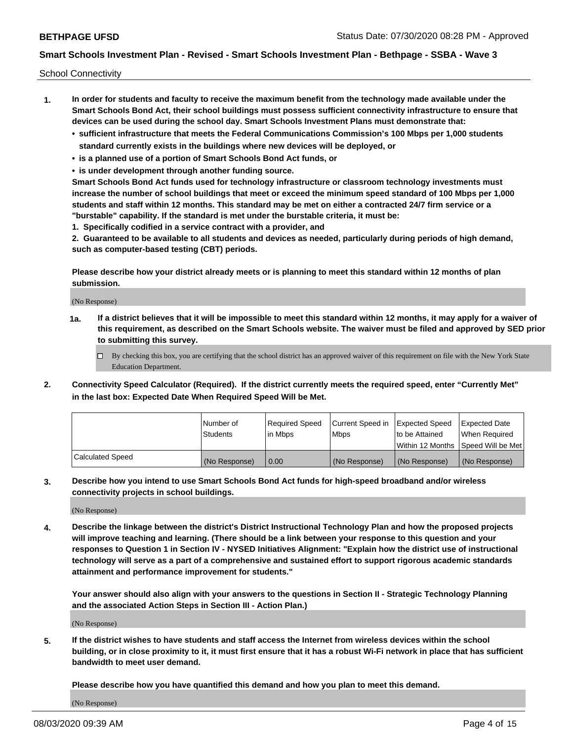School Connectivity

- **1. In order for students and faculty to receive the maximum benefit from the technology made available under the Smart Schools Bond Act, their school buildings must possess sufficient connectivity infrastructure to ensure that devices can be used during the school day. Smart Schools Investment Plans must demonstrate that:**
	- **• sufficient infrastructure that meets the Federal Communications Commission's 100 Mbps per 1,000 students standard currently exists in the buildings where new devices will be deployed, or**
	- **• is a planned use of a portion of Smart Schools Bond Act funds, or**
	- **• is under development through another funding source.**

**Smart Schools Bond Act funds used for technology infrastructure or classroom technology investments must increase the number of school buildings that meet or exceed the minimum speed standard of 100 Mbps per 1,000 students and staff within 12 months. This standard may be met on either a contracted 24/7 firm service or a "burstable" capability. If the standard is met under the burstable criteria, it must be:**

**1. Specifically codified in a service contract with a provider, and**

**2. Guaranteed to be available to all students and devices as needed, particularly during periods of high demand, such as computer-based testing (CBT) periods.**

**Please describe how your district already meets or is planning to meet this standard within 12 months of plan submission.**

(No Response)

**1a. If a district believes that it will be impossible to meet this standard within 12 months, it may apply for a waiver of this requirement, as described on the Smart Schools website. The waiver must be filed and approved by SED prior to submitting this survey.**

 $\Box$  By checking this box, you are certifying that the school district has an approved waiver of this requirement on file with the New York State Education Department.

**2. Connectivity Speed Calculator (Required). If the district currently meets the required speed, enter "Currently Met" in the last box: Expected Date When Required Speed Will be Met.**

|                  | l Number of     | Required Speed | Current Speed in | <b>Expected Speed</b> | <b>Expected Date</b>                |
|------------------|-----------------|----------------|------------------|-----------------------|-------------------------------------|
|                  | <b>Students</b> | l in Mbps      | <b>Mbps</b>      | to be Attained        | When Required                       |
|                  |                 |                |                  |                       | Within 12 Months ISpeed Will be Met |
| Calculated Speed | (No Response)   | 0.00           | (No Response)    | (No Response)         | (No Response)                       |

**3. Describe how you intend to use Smart Schools Bond Act funds for high-speed broadband and/or wireless connectivity projects in school buildings.**

(No Response)

**4. Describe the linkage between the district's District Instructional Technology Plan and how the proposed projects will improve teaching and learning. (There should be a link between your response to this question and your responses to Question 1 in Section IV - NYSED Initiatives Alignment: "Explain how the district use of instructional technology will serve as a part of a comprehensive and sustained effort to support rigorous academic standards attainment and performance improvement for students."** 

**Your answer should also align with your answers to the questions in Section II - Strategic Technology Planning and the associated Action Steps in Section III - Action Plan.)**

(No Response)

**5. If the district wishes to have students and staff access the Internet from wireless devices within the school building, or in close proximity to it, it must first ensure that it has a robust Wi-Fi network in place that has sufficient bandwidth to meet user demand.**

**Please describe how you have quantified this demand and how you plan to meet this demand.**

(No Response)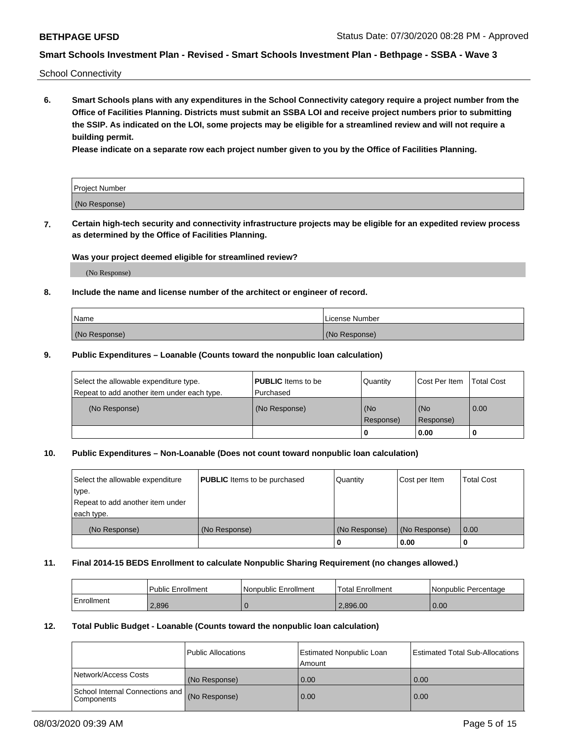School Connectivity

**6. Smart Schools plans with any expenditures in the School Connectivity category require a project number from the Office of Facilities Planning. Districts must submit an SSBA LOI and receive project numbers prior to submitting the SSIP. As indicated on the LOI, some projects may be eligible for a streamlined review and will not require a building permit.**

**Please indicate on a separate row each project number given to you by the Office of Facilities Planning.**

| Project Number |  |
|----------------|--|
| (No Response)  |  |

**7. Certain high-tech security and connectivity infrastructure projects may be eligible for an expedited review process as determined by the Office of Facilities Planning.**

### **Was your project deemed eligible for streamlined review?**

(No Response)

### **8. Include the name and license number of the architect or engineer of record.**

| Name          | License Number |
|---------------|----------------|
| (No Response) | (No Response)  |

### **9. Public Expenditures – Loanable (Counts toward the nonpublic loan calculation)**

| Select the allowable expenditure type.<br>Repeat to add another item under each type. | <b>PUBLIC</b> Items to be<br>l Purchased | Quantity           | Cost Per Item    | <b>Total Cost</b> |
|---------------------------------------------------------------------------------------|------------------------------------------|--------------------|------------------|-------------------|
| (No Response)                                                                         | (No Response)                            | l (No<br>Response) | (No<br>Response) | $\overline{0.00}$ |
|                                                                                       |                                          | O                  | 0.00             |                   |

### **10. Public Expenditures – Non-Loanable (Does not count toward nonpublic loan calculation)**

| Select the allowable expenditure<br>type.      | <b>PUBLIC</b> Items to be purchased | Quantity      | Cost per Item | <b>Total Cost</b> |
|------------------------------------------------|-------------------------------------|---------------|---------------|-------------------|
| Repeat to add another item under<br>each type. |                                     |               |               |                   |
| (No Response)                                  | (No Response)                       | (No Response) | (No Response) | 0.00              |
|                                                |                                     |               | 0.00          |                   |

### **11. Final 2014-15 BEDS Enrollment to calculate Nonpublic Sharing Requirement (no changes allowed.)**

|            | Public Enrollment | l Nonpublic Enrollment | <b>Total Enrollment</b> | Nonpublic Percentage |
|------------|-------------------|------------------------|-------------------------|----------------------|
| Enrollment | 2.896             |                        | 2.896.00                | 0.00                 |

### **12. Total Public Budget - Loanable (Counts toward the nonpublic loan calculation)**

|                                               | Public Allocations | <b>Estimated Nonpublic Loan</b><br>Amount | Estimated Total Sub-Allocations |
|-----------------------------------------------|--------------------|-------------------------------------------|---------------------------------|
| Network/Access Costs                          | (No Response)      | 0.00                                      | 0.00                            |
| School Internal Connections and<br>Components | (No Response)      | 0.00                                      | 0.00                            |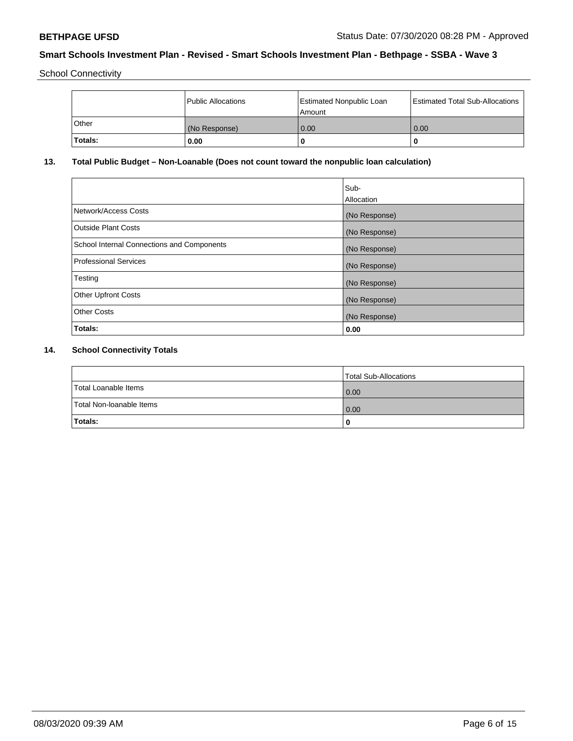School Connectivity

|         | Public Allocations | <b>Estimated Nonpublic Loan</b><br>l Amount | <b>Estimated Total Sub-Allocations</b> |
|---------|--------------------|---------------------------------------------|----------------------------------------|
| l Other | (No Response)      | 0.00                                        | 0.00                                   |
| Totals: | 0.00               | 0                                           |                                        |

## **13. Total Public Budget – Non-Loanable (Does not count toward the nonpublic loan calculation)**

|                                                   | Sub-<br>Allocation |
|---------------------------------------------------|--------------------|
| Network/Access Costs                              | (No Response)      |
| Outside Plant Costs                               | (No Response)      |
| <b>School Internal Connections and Components</b> | (No Response)      |
| Professional Services                             | (No Response)      |
| Testing                                           | (No Response)      |
| <b>Other Upfront Costs</b>                        | (No Response)      |
| <b>Other Costs</b>                                | (No Response)      |
| Totals:                                           | 0.00               |

## **14. School Connectivity Totals**

|                          | Total Sub-Allocations |
|--------------------------|-----------------------|
| Total Loanable Items     | 0.00                  |
| Total Non-Ioanable Items | 0.00                  |
| Totals:                  | 0                     |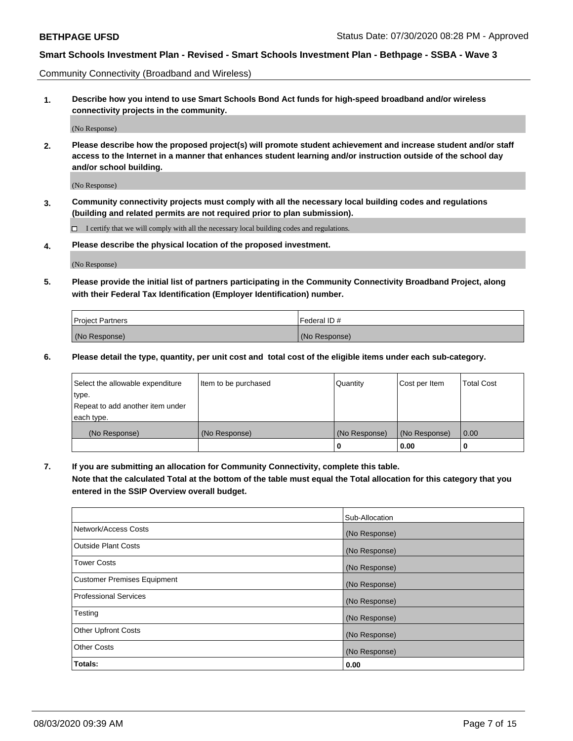Community Connectivity (Broadband and Wireless)

**1. Describe how you intend to use Smart Schools Bond Act funds for high-speed broadband and/or wireless connectivity projects in the community.**

(No Response)

**2. Please describe how the proposed project(s) will promote student achievement and increase student and/or staff access to the Internet in a manner that enhances student learning and/or instruction outside of the school day and/or school building.**

(No Response)

**3. Community connectivity projects must comply with all the necessary local building codes and regulations (building and related permits are not required prior to plan submission).**

 $\Box$  I certify that we will comply with all the necessary local building codes and regulations.

**4. Please describe the physical location of the proposed investment.**

(No Response)

**5. Please provide the initial list of partners participating in the Community Connectivity Broadband Project, along with their Federal Tax Identification (Employer Identification) number.**

| <b>Project Partners</b> | l Federal ID # |
|-------------------------|----------------|
| (No Response)           | (No Response)  |

**6. Please detail the type, quantity, per unit cost and total cost of the eligible items under each sub-category.**

| Select the allowable expenditure | Item to be purchased | Quantity      | Cost per Item | <b>Total Cost</b> |
|----------------------------------|----------------------|---------------|---------------|-------------------|
| type.                            |                      |               |               |                   |
| Repeat to add another item under |                      |               |               |                   |
| each type.                       |                      |               |               |                   |
| (No Response)                    | (No Response)        | (No Response) | (No Response) | 0.00              |
|                                  |                      | U             | 0.00          | -0                |

**7. If you are submitting an allocation for Community Connectivity, complete this table.**

**Note that the calculated Total at the bottom of the table must equal the Total allocation for this category that you entered in the SSIP Overview overall budget.**

|                                    | Sub-Allocation |
|------------------------------------|----------------|
| Network/Access Costs               | (No Response)  |
| Outside Plant Costs                | (No Response)  |
| <b>Tower Costs</b>                 | (No Response)  |
| <b>Customer Premises Equipment</b> | (No Response)  |
| <b>Professional Services</b>       | (No Response)  |
| Testing                            | (No Response)  |
| <b>Other Upfront Costs</b>         | (No Response)  |
| <b>Other Costs</b>                 | (No Response)  |
| Totals:                            | 0.00           |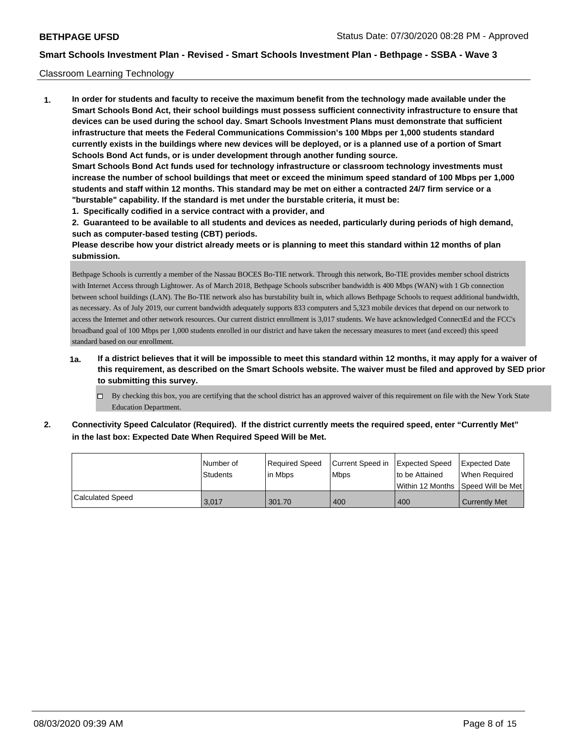### Classroom Learning Technology

**1. In order for students and faculty to receive the maximum benefit from the technology made available under the Smart Schools Bond Act, their school buildings must possess sufficient connectivity infrastructure to ensure that devices can be used during the school day. Smart Schools Investment Plans must demonstrate that sufficient infrastructure that meets the Federal Communications Commission's 100 Mbps per 1,000 students standard currently exists in the buildings where new devices will be deployed, or is a planned use of a portion of Smart Schools Bond Act funds, or is under development through another funding source. Smart Schools Bond Act funds used for technology infrastructure or classroom technology investments must increase the number of school buildings that meet or exceed the minimum speed standard of 100 Mbps per 1,000 students and staff within 12 months. This standard may be met on either a contracted 24/7 firm service or a "burstable" capability. If the standard is met under the burstable criteria, it must be:**

**1. Specifically codified in a service contract with a provider, and**

**2. Guaranteed to be available to all students and devices as needed, particularly during periods of high demand, such as computer-based testing (CBT) periods.**

**Please describe how your district already meets or is planning to meet this standard within 12 months of plan submission.**

Bethpage Schools is currently a member of the Nassau BOCES Bo-TIE network. Through this network, Bo-TIE provides member school districts with Internet Access through Lightower. As of March 2018, Bethpage Schools subscriber bandwidth is 400 Mbps (WAN) with 1 Gb connection between school buildings (LAN). The Bo-TIE network also has burstability built in, which allows Bethpage Schools to request additional bandwidth, as necessary. As of July 2019, our current bandwidth adequately supports 833 computers and 5,323 mobile devices that depend on our network to access the Internet and other network resources. Our current district enrollment is 3,017 students. We have acknowledged ConnectEd and the FCC's broadband goal of 100 Mbps per 1,000 students enrolled in our district and have taken the necessary measures to meet (and exceed) this speed standard based on our enrollment.

- **1a. If a district believes that it will be impossible to meet this standard within 12 months, it may apply for a waiver of this requirement, as described on the Smart Schools website. The waiver must be filed and approved by SED prior to submitting this survey.**
	- By checking this box, you are certifying that the school district has an approved waiver of this requirement on file with the New York State Education Department.
- **2. Connectivity Speed Calculator (Required). If the district currently meets the required speed, enter "Currently Met" in the last box: Expected Date When Required Speed Will be Met.**

|                  | Number of       | Required Speed | Current Speed in Expected Speed | to be Attained                       | <b>Expected Date</b> |
|------------------|-----------------|----------------|---------------------------------|--------------------------------------|----------------------|
|                  | <b>Students</b> | lin Mbps       | <b>Mbps</b>                     | Within 12 Months   Speed Will be Met | When Required        |
| Calculated Speed | 3,017           | 301.70         | 400                             | 400                                  | Currently Met        |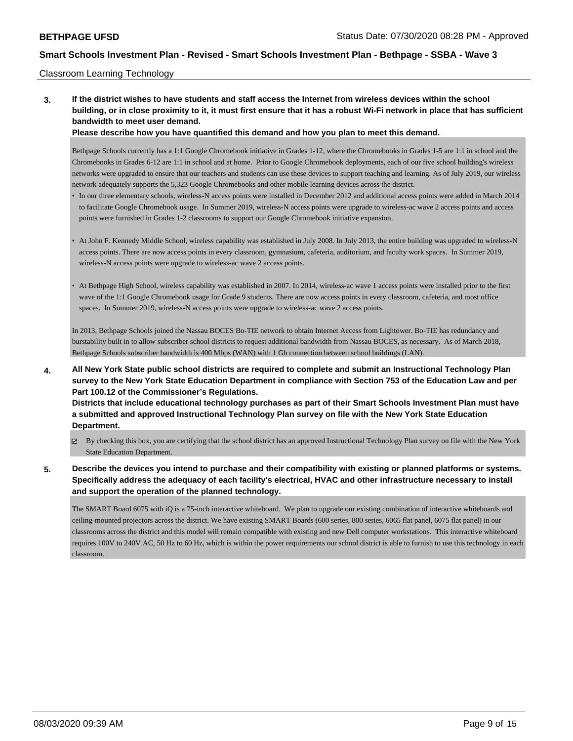### Classroom Learning Technology

**3. If the district wishes to have students and staff access the Internet from wireless devices within the school building, or in close proximity to it, it must first ensure that it has a robust Wi-Fi network in place that has sufficient bandwidth to meet user demand.**

**Please describe how you have quantified this demand and how you plan to meet this demand.**

Bethpage Schools currently has a 1:1 Google Chromebook initiative in Grades 1-12, where the Chromebooks in Grades 1-5 are 1:1 in school and the Chromebooks in Grades 6-12 are 1:1 in school and at home. Prior to Google Chromebook deployments, each of our five school building's wireless networks were upgraded to ensure that our teachers and students can use these devices to support teaching and learning. As of July 2019, our wireless network adequately supports the 5,323 Google Chromebooks and other mobile learning devices across the district.

- In our three elementary schools, wireless-N access points were installed in December 2012 and additional access points were added in March 2014 to facilitate Google Chromebook usage. In Summer 2019, wireless-N access points were upgrade to wireless-ac wave 2 access points and access points were furnished in Grades 1-2 classrooms to support our Google Chromebook initiative expansion.
- At John F. Kennedy Middle School, wireless capability was established in July 2008. In July 2013, the entire building was upgraded to wireless-N access points. There are now access points in every classroom, gymnasium, cafeteria, auditorium, and faculty work spaces. In Summer 2019, wireless-N access points were upgrade to wireless-ac wave 2 access points.
- At Bethpage High School, wireless capability was established in 2007. In 2014, wireless-ac wave 1 access points were installed prior to the first wave of the 1:1 Google Chromebook usage for Grade 9 students. There are now access points in every classroom, cafeteria, and most office spaces. In Summer 2019, wireless-N access points were upgrade to wireless-ac wave 2 access points.

In 2013, Bethpage Schools joined the Nassau BOCES Bo-TIE network to obtain Internet Access from Lightower. Bo-TIE has redundancy and burstability built in to allow subscriber school districts to request additional bandwidth from Nassau BOCES, as necessary. As of March 2018, Bethpage Schools subscriber bandwidth is 400 Mbps (WAN) with 1 Gb connection between school buildings (LAN).

**4. All New York State public school districts are required to complete and submit an Instructional Technology Plan survey to the New York State Education Department in compliance with Section 753 of the Education Law and per Part 100.12 of the Commissioner's Regulations.**

**Districts that include educational technology purchases as part of their Smart Schools Investment Plan must have a submitted and approved Instructional Technology Plan survey on file with the New York State Education Department.**

- By checking this box, you are certifying that the school district has an approved Instructional Technology Plan survey on file with the New York State Education Department.
- **5. Describe the devices you intend to purchase and their compatibility with existing or planned platforms or systems. Specifically address the adequacy of each facility's electrical, HVAC and other infrastructure necessary to install and support the operation of the planned technology.**

The SMART Board 6075 with iQ is a 75-inch interactive whiteboard. We plan to upgrade our existing combination of interactive whiteboards and ceiling-mounted projectors across the district. We have existing SMART Boards (600 series, 800 series, 6065 flat panel, 6075 flat panel) in our classrooms across the district and this model will remain compatible with existing and new Dell computer workstations. This interactive whiteboard requires 100V to 240V AC, 50 Hz to 60 Hz, which is within the power requirements our school district is able to furnish to use this technology in each classroom.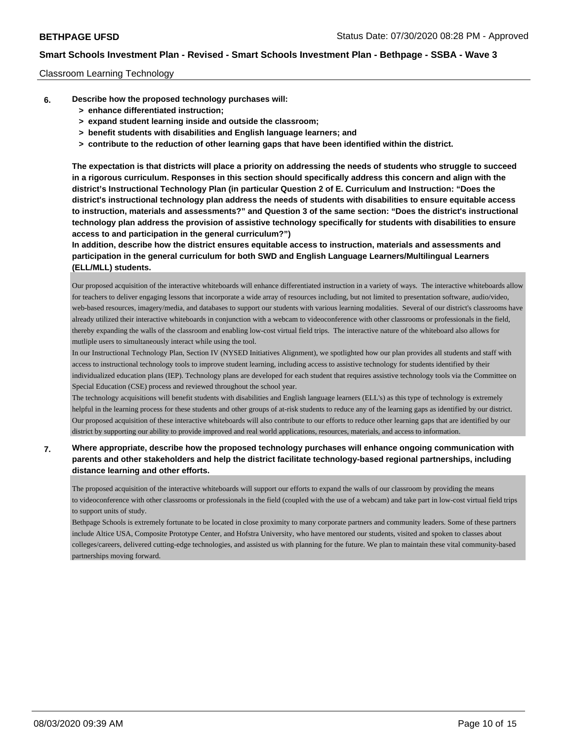### Classroom Learning Technology

- **6. Describe how the proposed technology purchases will:**
	- **> enhance differentiated instruction;**
	- **> expand student learning inside and outside the classroom;**
	- **> benefit students with disabilities and English language learners; and**
	- **> contribute to the reduction of other learning gaps that have been identified within the district.**

**The expectation is that districts will place a priority on addressing the needs of students who struggle to succeed in a rigorous curriculum. Responses in this section should specifically address this concern and align with the district's Instructional Technology Plan (in particular Question 2 of E. Curriculum and Instruction: "Does the district's instructional technology plan address the needs of students with disabilities to ensure equitable access to instruction, materials and assessments?" and Question 3 of the same section: "Does the district's instructional technology plan address the provision of assistive technology specifically for students with disabilities to ensure access to and participation in the general curriculum?")**

**In addition, describe how the district ensures equitable access to instruction, materials and assessments and participation in the general curriculum for both SWD and English Language Learners/Multilingual Learners (ELL/MLL) students.**

Our proposed acquisition of the interactive whiteboards will enhance differentiated instruction in a variety of ways. The interactive whiteboards allow for teachers to deliver engaging lessons that incorporate a wide array of resources including, but not limited to presentation software, audio/video, web-based resources, imagery/media, and databases to support our students with various learning modalities. Several of our district's classrooms have already utilized their interactive whiteboards in conjunction with a webcam to videoconference with other classrooms or professionals in the field, thereby expanding the walls of the classroom and enabling low-cost virtual field trips. The interactive nature of the whiteboard also allows for mutliple users to simultaneously interact while using the tool.

In our Instructional Technology Plan, Section IV (NYSED Initiatives Alignment), we spotlighted how our plan provides all students and staff with access to instructional technology tools to improve student learning, including access to assistive technology for students identified by their individualized education plans (IEP). Technology plans are developed for each student that requires assistive technology tools via the Committee on Special Education (CSE) process and reviewed throughout the school year.

The technology acquisitions will benefit students with disabilities and English language learners (ELL's) as this type of technology is extremely helpful in the learning process for these students and other groups of at-risk students to reduce any of the learning gaps as identified by our district. Our proposed acquisition of these interactive whiteboards will also contribute to our efforts to reduce other learning gaps that are identified by our district by supporting our ability to provide improved and real world applications, resources, materials, and access to information.

## **7. Where appropriate, describe how the proposed technology purchases will enhance ongoing communication with parents and other stakeholders and help the district facilitate technology-based regional partnerships, including distance learning and other efforts.**

The proposed acquisition of the interactive whiteboards will support our efforts to expand the walls of our classroom by providing the means to videoconference with other classrooms or professionals in the field (coupled with the use of a webcam) and take part in low-cost virtual field trips to support units of study.

Bethpage Schools is extremely fortunate to be located in close proximity to many corporate partners and community leaders. Some of these partners include Altice USA, Composite Prototype Center, and Hofstra University, who have mentored our students, visited and spoken to classes about colleges/careers, delivered cutting-edge technologies, and assisted us with planning for the future. We plan to maintain these vital community-based partnerships moving forward.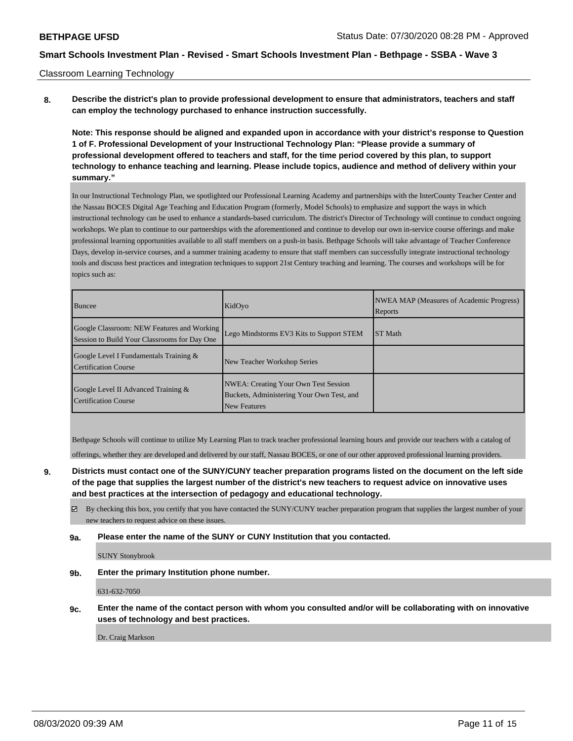### Classroom Learning Technology

**8. Describe the district's plan to provide professional development to ensure that administrators, teachers and staff can employ the technology purchased to enhance instruction successfully.**

**Note: This response should be aligned and expanded upon in accordance with your district's response to Question 1 of F. Professional Development of your Instructional Technology Plan: "Please provide a summary of professional development offered to teachers and staff, for the time period covered by this plan, to support technology to enhance teaching and learning. Please include topics, audience and method of delivery within your summary."**

In our Instructional Technology Plan, we spotlighted our Professional Learning Academy and partnerships with the InterCounty Teacher Center and the Nassau BOCES Digital Age Teaching and Education Program (formerly, Model Schools) to emphasize and support the ways in which instructional technology can be used to enhance a standards-based curriculum. The district's Director of Technology will continue to conduct ongoing workshops. We plan to continue to our partnerships with the aforementioned and continue to develop our own in-service course offerings and make professional learning opportunities available to all staff members on a push-in basis. Bethpage Schools will take advantage of Teacher Conference Days, develop in-service courses, and a summer training academy to ensure that staff members can successfully integrate instructional technology tools and discuss best practices and integration techniques to support 21st Century teaching and learning. The courses and workshops will be for topics such as:

| Buncee                                                                                     | KidOyo                                                                                                          | NWEA MAP (Measures of Academic Progress)<br>Reports |
|--------------------------------------------------------------------------------------------|-----------------------------------------------------------------------------------------------------------------|-----------------------------------------------------|
| Google Classroom: NEW Features and Working<br>Session to Build Your Classrooms for Day One | Lego Mindstorms EV3 Kits to Support STEM                                                                        | <b>ST</b> Math                                      |
| Google Level I Fundamentals Training &<br>Certification Course                             | New Teacher Workshop Series                                                                                     |                                                     |
| Google Level II Advanced Training &<br><b>Certification Course</b>                         | <b>NWEA: Creating Your Own Test Session</b><br>Buckets, Administering Your Own Test, and<br><b>New Features</b> |                                                     |

Bethpage Schools will continue to utilize My Learning Plan to track teacher professional learning hours and provide our teachers with a catalog of

offerings, whether they are developed and delivered by our staff, Nassau BOCES, or one of our other approved professional learning providers.

- **9. Districts must contact one of the SUNY/CUNY teacher preparation programs listed on the document on the left side of the page that supplies the largest number of the district's new teachers to request advice on innovative uses and best practices at the intersection of pedagogy and educational technology.**
	- By checking this box, you certify that you have contacted the SUNY/CUNY teacher preparation program that supplies the largest number of your new teachers to request advice on these issues.
	- **9a. Please enter the name of the SUNY or CUNY Institution that you contacted.**

SUNY Stonybrook

**9b. Enter the primary Institution phone number.**

631-632-7050

**9c. Enter the name of the contact person with whom you consulted and/or will be collaborating with on innovative uses of technology and best practices.**

Dr. Craig Markson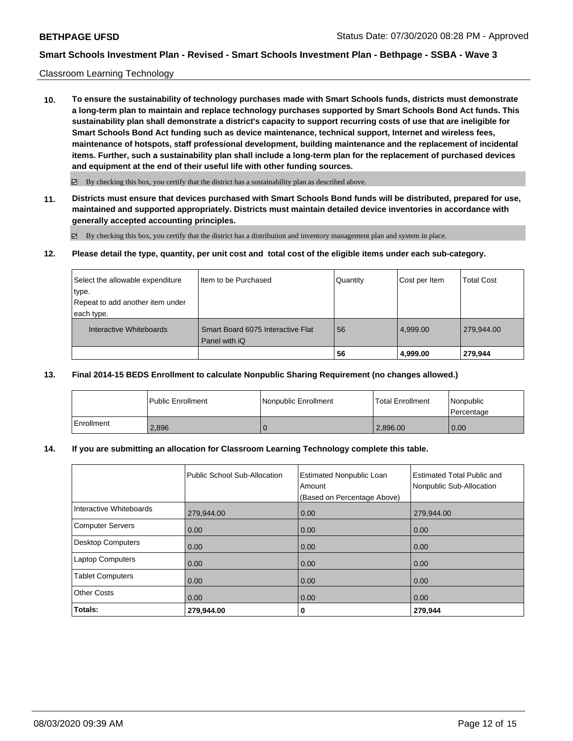### Classroom Learning Technology

**10. To ensure the sustainability of technology purchases made with Smart Schools funds, districts must demonstrate a long-term plan to maintain and replace technology purchases supported by Smart Schools Bond Act funds. This sustainability plan shall demonstrate a district's capacity to support recurring costs of use that are ineligible for Smart Schools Bond Act funding such as device maintenance, technical support, Internet and wireless fees, maintenance of hotspots, staff professional development, building maintenance and the replacement of incidental items. Further, such a sustainability plan shall include a long-term plan for the replacement of purchased devices and equipment at the end of their useful life with other funding sources.**

 $\boxtimes$  By checking this box, you certify that the district has a sustainability plan as described above.

**11. Districts must ensure that devices purchased with Smart Schools Bond funds will be distributed, prepared for use, maintained and supported appropriately. Districts must maintain detailed device inventories in accordance with generally accepted accounting principles.**

By checking this box, you certify that the district has a distribution and inventory management plan and system in place.

**12. Please detail the type, quantity, per unit cost and total cost of the eligible items under each sub-category.**

| Select the allowable expenditure           | Item to be Purchased              | Quantity | Cost per Item | Total Cost |
|--------------------------------------------|-----------------------------------|----------|---------------|------------|
| ∣type.<br>Repeat to add another item under |                                   |          |               |            |
| each type.<br>Interactive Whiteboards      | Smart Board 6075 Interactive Flat | 56       | 4.999.00      | 279.944.00 |
|                                            | Panel with iQ                     | 56       | 4,999.00      | 279,944    |

### **13. Final 2014-15 BEDS Enrollment to calculate Nonpublic Sharing Requirement (no changes allowed.)**

|            | l Public Enrollment | Nonpublic Enrollment | <b>Total Enrollment</b> | Nonpublic<br>l Percentage |
|------------|---------------------|----------------------|-------------------------|---------------------------|
| Enrollment | 2.896               |                      | 2,896.00                | 0.00                      |

## **14. If you are submitting an allocation for Classroom Learning Technology complete this table.**

| Totals:                  | 279,944.00                   | 0                                                                        | 279,944                                                       |
|--------------------------|------------------------------|--------------------------------------------------------------------------|---------------------------------------------------------------|
| <b>Other Costs</b>       | 0.00                         | 0.00                                                                     | 0.00                                                          |
| <b>Tablet Computers</b>  | 0.00                         | 0.00                                                                     | 0.00                                                          |
| <b>Laptop Computers</b>  | 0.00                         | 0.00                                                                     | 0.00                                                          |
| <b>Desktop Computers</b> | 0.00                         | 0.00                                                                     | 0.00                                                          |
| <b>Computer Servers</b>  | 0.00                         | 0.00                                                                     | 0.00                                                          |
| Interactive Whiteboards  | 279,944.00                   | 0.00                                                                     | 279,944.00                                                    |
|                          | Public School Sub-Allocation | <b>Estimated Nonpublic Loan</b><br>Amount<br>(Based on Percentage Above) | <b>Estimated Total Public and</b><br>Nonpublic Sub-Allocation |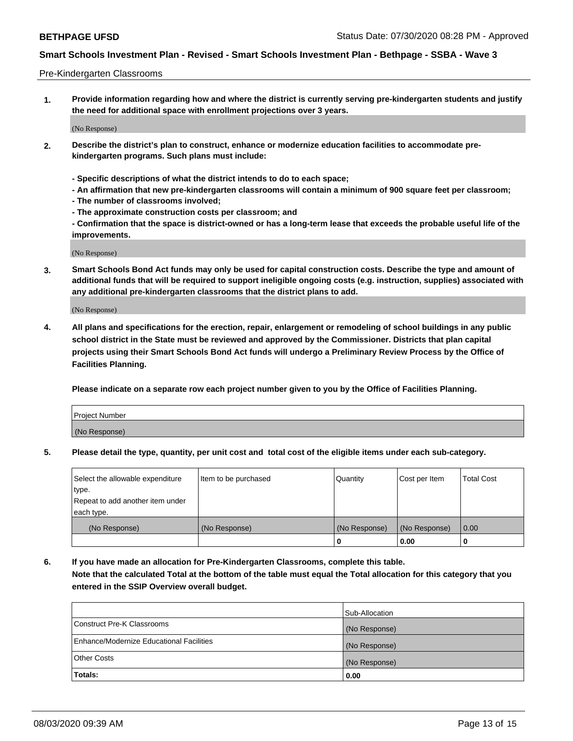### Pre-Kindergarten Classrooms

**1. Provide information regarding how and where the district is currently serving pre-kindergarten students and justify the need for additional space with enrollment projections over 3 years.**

(No Response)

- **2. Describe the district's plan to construct, enhance or modernize education facilities to accommodate prekindergarten programs. Such plans must include:**
	- **Specific descriptions of what the district intends to do to each space;**
	- **An affirmation that new pre-kindergarten classrooms will contain a minimum of 900 square feet per classroom;**
	- **The number of classrooms involved;**
	- **The approximate construction costs per classroom; and**
	- **Confirmation that the space is district-owned or has a long-term lease that exceeds the probable useful life of the improvements.**

(No Response)

**3. Smart Schools Bond Act funds may only be used for capital construction costs. Describe the type and amount of additional funds that will be required to support ineligible ongoing costs (e.g. instruction, supplies) associated with any additional pre-kindergarten classrooms that the district plans to add.**

(No Response)

**4. All plans and specifications for the erection, repair, enlargement or remodeling of school buildings in any public school district in the State must be reviewed and approved by the Commissioner. Districts that plan capital projects using their Smart Schools Bond Act funds will undergo a Preliminary Review Process by the Office of Facilities Planning.**

**Please indicate on a separate row each project number given to you by the Office of Facilities Planning.**

| Project Number |  |
|----------------|--|
| (No Response)  |  |
|                |  |

**5. Please detail the type, quantity, per unit cost and total cost of the eligible items under each sub-category.**

| Select the allowable expenditure | Item to be purchased | Quantity      | Cost per Item | <b>Total Cost</b> |
|----------------------------------|----------------------|---------------|---------------|-------------------|
| type.                            |                      |               |               |                   |
| Repeat to add another item under |                      |               |               |                   |
| each type.                       |                      |               |               |                   |
| (No Response)                    | (No Response)        | (No Response) | (No Response) | 0.00              |
|                                  |                      | U             | 0.00          |                   |

**6. If you have made an allocation for Pre-Kindergarten Classrooms, complete this table. Note that the calculated Total at the bottom of the table must equal the Total allocation for this category that you entered in the SSIP Overview overall budget.**

| Totals:                                  | 0.00           |
|------------------------------------------|----------------|
| <b>Other Costs</b>                       | (No Response)  |
| Enhance/Modernize Educational Facilities | (No Response)  |
| Construct Pre-K Classrooms               | (No Response)  |
|                                          | Sub-Allocation |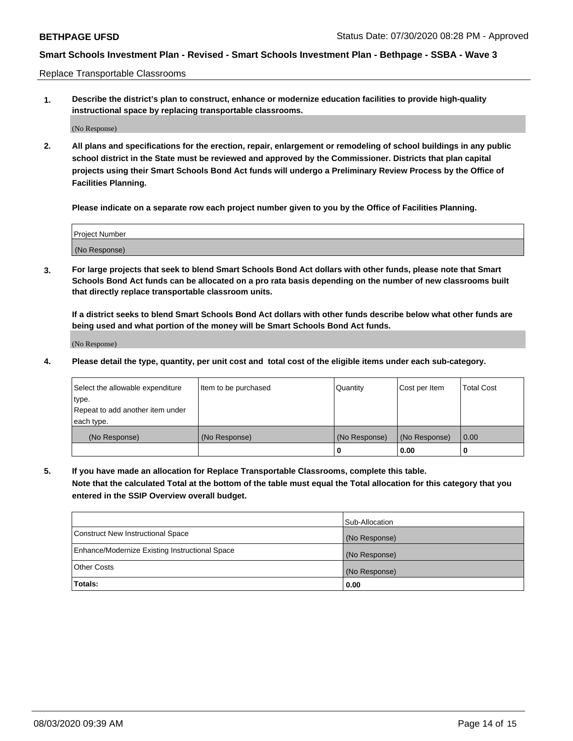Replace Transportable Classrooms

**1. Describe the district's plan to construct, enhance or modernize education facilities to provide high-quality instructional space by replacing transportable classrooms.**

(No Response)

**2. All plans and specifications for the erection, repair, enlargement or remodeling of school buildings in any public school district in the State must be reviewed and approved by the Commissioner. Districts that plan capital projects using their Smart Schools Bond Act funds will undergo a Preliminary Review Process by the Office of Facilities Planning.**

**Please indicate on a separate row each project number given to you by the Office of Facilities Planning.**

| Project Number |  |
|----------------|--|
|                |  |
|                |  |
|                |  |
|                |  |
| (No Response)  |  |
|                |  |
|                |  |
|                |  |

**3. For large projects that seek to blend Smart Schools Bond Act dollars with other funds, please note that Smart Schools Bond Act funds can be allocated on a pro rata basis depending on the number of new classrooms built that directly replace transportable classroom units.**

**If a district seeks to blend Smart Schools Bond Act dollars with other funds describe below what other funds are being used and what portion of the money will be Smart Schools Bond Act funds.**

(No Response)

**4. Please detail the type, quantity, per unit cost and total cost of the eligible items under each sub-category.**

| Select the allowable expenditure | Item to be purchased | Quantity      | Cost per Item | Total Cost |
|----------------------------------|----------------------|---------------|---------------|------------|
| ∣type.                           |                      |               |               |            |
| Repeat to add another item under |                      |               |               |            |
| each type.                       |                      |               |               |            |
| (No Response)                    | (No Response)        | (No Response) | (No Response) | 0.00       |
|                                  |                      | u             | 0.00          |            |

**5. If you have made an allocation for Replace Transportable Classrooms, complete this table. Note that the calculated Total at the bottom of the table must equal the Total allocation for this category that you entered in the SSIP Overview overall budget.**

|                                                | Sub-Allocation |
|------------------------------------------------|----------------|
| Construct New Instructional Space              | (No Response)  |
| Enhance/Modernize Existing Instructional Space | (No Response)  |
| Other Costs                                    | (No Response)  |
| Totals:                                        | 0.00           |